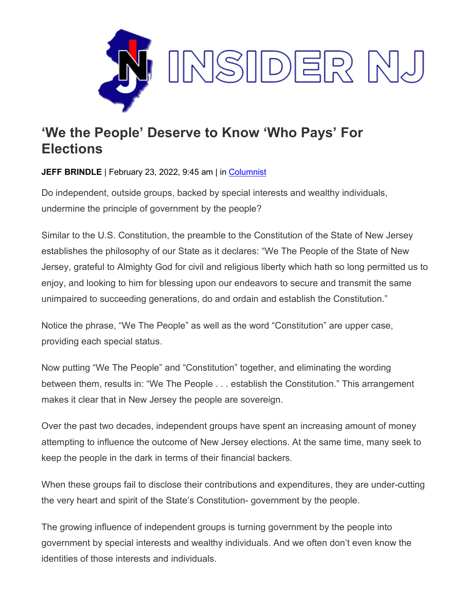

## **'We the People' Deserve to Know 'Who Pays' For Elections**

**JEFF BRINDLE** | February 23, 2022, 9:45 am | in [Columnist](https://www.insidernj.com/category/columnist/)

Do independent, outside groups, backed by special interests and wealthy individuals, undermine the principle of government by the people?

Similar to the U.S. Constitution, the preamble to the Constitution of the State of New Jersey establishes the philosophy of our State as it declares: "We The People of the State of New Jersey, grateful to Almighty God for civil and religious liberty which hath so long permitted us to enjoy, and looking to him for blessing upon our endeavors to secure and transmit the same unimpaired to succeeding generations, do and ordain and establish the Constitution."

Notice the phrase, "We The People" as well as the word "Constitution" are upper case, providing each special status.

Now putting "We The People" and "Constitution" together, and eliminating the wording between them, results in: "We The People . . . establish the Constitution." This arrangement makes it clear that in New Jersey the people are sovereign.

Over the past two decades, independent groups have spent an increasing amount of money attempting to influence the outcome of New Jersey elections. At the same time, many seek to keep the people in the dark in terms of their financial backers.

When these groups fail to disclose their contributions and expenditures, they are under-cutting the very heart and spirit of the State's Constitution- government by the people.

The growing influence of independent groups is turning government by the people into government by special interests and wealthy individuals. And we often don't even know the identities of those interests and individuals.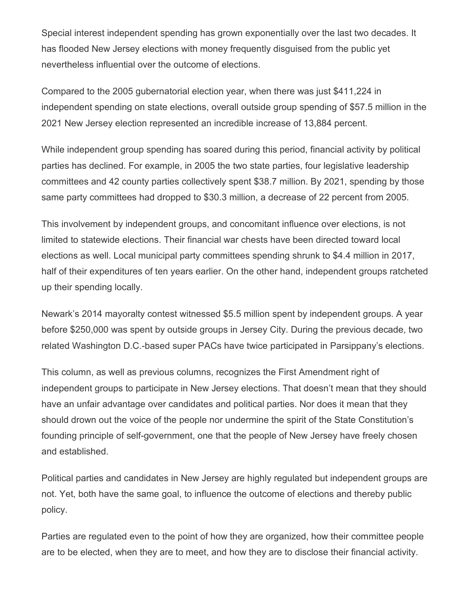Special interest independent spending has grown exponentially over the last two decades. It has flooded New Jersey elections with money frequently disguised from the public yet nevertheless influential over the outcome of elections.

Compared to the 2005 gubernatorial election year, when there was just \$411,224 in independent spending on state elections, overall outside group spending of \$57.5 million in the 2021 New Jersey election represented an incredible increase of 13,884 percent.

While independent group spending has soared during this period, financial activity by political parties has declined. For example, in 2005 the two state parties, four legislative leadership committees and 42 county parties collectively spent \$38.7 million. By 2021, spending by those same party committees had dropped to \$30.3 million, a decrease of 22 percent from 2005.

This involvement by independent groups, and concomitant influence over elections, is not limited to statewide elections. Their financial war chests have been directed toward local elections as well. Local municipal party committees spending shrunk to \$4.4 million in 2017, half of their expenditures of ten years earlier. On the other hand, independent groups ratcheted up their spending locally.

Newark's 2014 mayoralty contest witnessed \$5.5 million spent by independent groups. A year before \$250,000 was spent by outside groups in Jersey City. During the previous decade, two related Washington D.C.-based super PACs have twice participated in Parsippany's elections.

This column, as well as previous columns, recognizes the First Amendment right of independent groups to participate in New Jersey elections. That doesn't mean that they should have an unfair advantage over candidates and political parties. Nor does it mean that they should drown out the voice of the people nor undermine the spirit of the State Constitution's founding principle of self-government, one that the people of New Jersey have freely chosen and established.

Political parties and candidates in New Jersey are highly regulated but independent groups are not. Yet, both have the same goal, to influence the outcome of elections and thereby public policy.

Parties are regulated even to the point of how they are organized, how their committee people are to be elected, when they are to meet, and how they are to disclose their financial activity.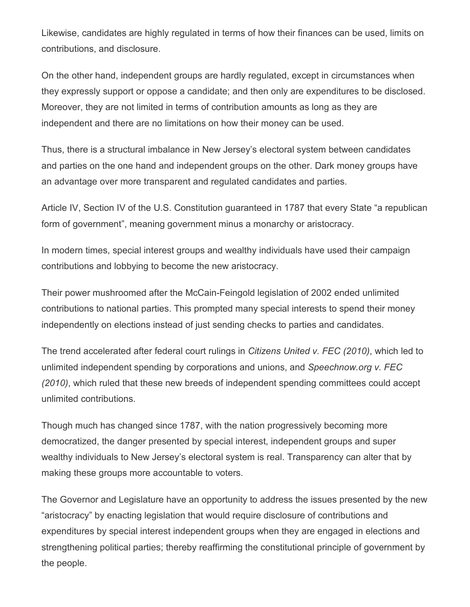Likewise, candidates are highly regulated in terms of how their finances can be used, limits on contributions, and disclosure.

On the other hand, independent groups are hardly regulated, except in circumstances when they expressly support or oppose a candidate; and then only are expenditures to be disclosed. Moreover, they are not limited in terms of contribution amounts as long as they are independent and there are no limitations on how their money can be used.

Thus, there is a structural imbalance in New Jersey's electoral system between candidates and parties on the one hand and independent groups on the other. Dark money groups have an advantage over more transparent and regulated candidates and parties.

Article IV, Section IV of the U.S. Constitution guaranteed in 1787 that every State "a republican form of government", meaning government minus a monarchy or aristocracy.

In modern times, special interest groups and wealthy individuals have used their campaign contributions and lobbying to become the new aristocracy.

Their power mushroomed after the McCain-Feingold legislation of 2002 ended unlimited contributions to national parties. This prompted many special interests to spend their money independently on elections instead of just sending checks to parties and candidates.

The trend accelerated after federal court rulings in *Citizens United v. FEC (2010)*, which led to unlimited independent spending by corporations and unions, and *Speechnow.org v. FEC (2010)*, which ruled that these new breeds of independent spending committees could accept unlimited contributions.

Though much has changed since 1787, with the nation progressively becoming more democratized, the danger presented by special interest, independent groups and super wealthy individuals to New Jersey's electoral system is real. Transparency can alter that by making these groups more accountable to voters.

The Governor and Legislature have an opportunity to address the issues presented by the new "aristocracy" by enacting legislation that would require disclosure of contributions and expenditures by special interest independent groups when they are engaged in elections and strengthening political parties; thereby reaffirming the constitutional principle of government by the people.